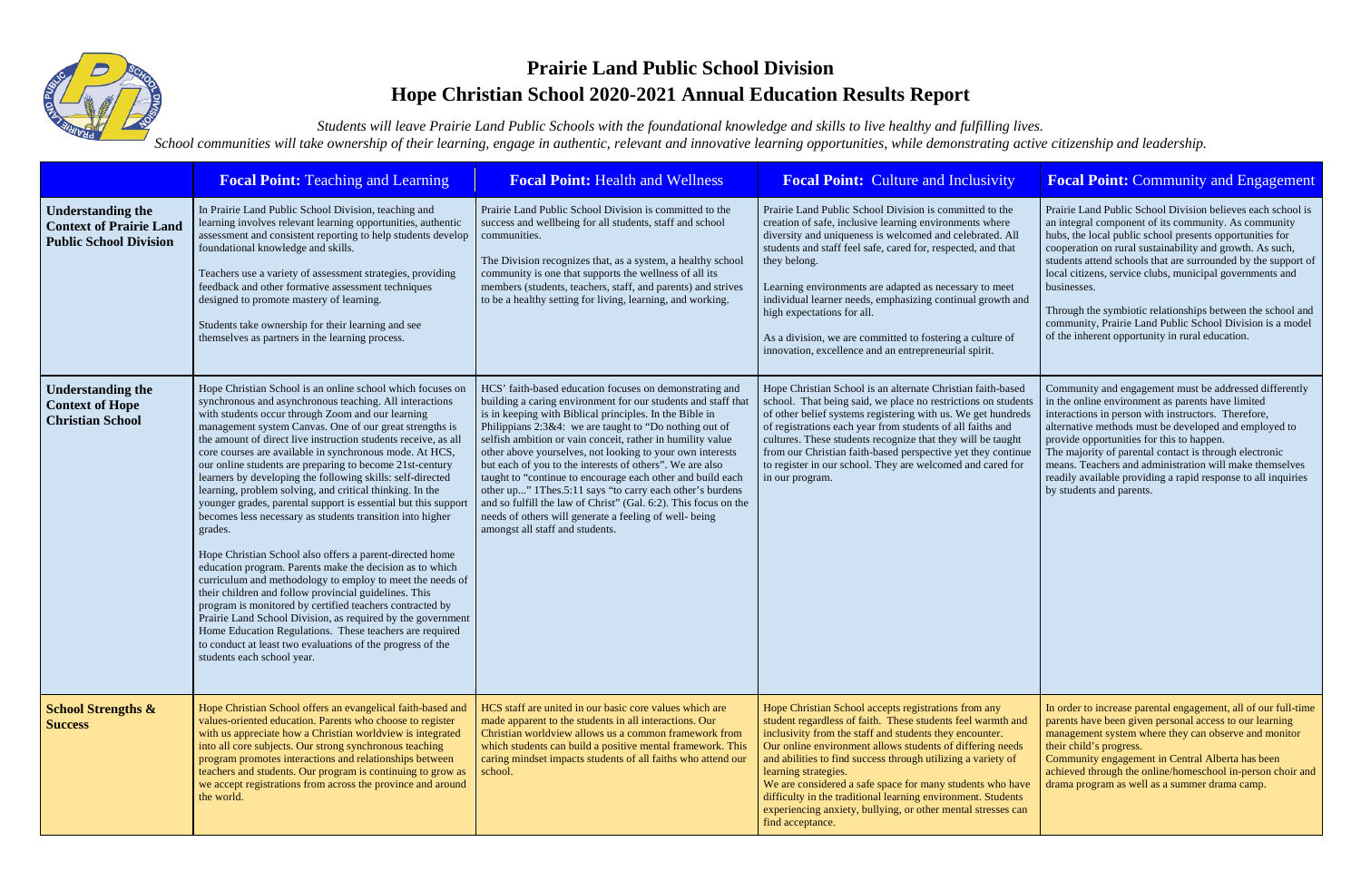

## **Prairie Land Public School Division Hope Christian School 2020-2021 Annual Education Results Report**

*Students will leave Prairie Land Public Schools with the foundational knowledge and skills to live healthy and fulfilling lives. School communities will take ownership of their learning, engage in authentic, relevant and innovative learning opportunities, while demonstrating active citizenship and leadership.*

|                                                                                             | <b>Focal Point: Teaching and Learning</b>                                                                                                                                                                                                                                                                                                                                                                                                                                                                                                                                                                                                                                                                                                                                                                                                                                                                                                                                                                                                                                                                                                                                                                                          | <b>Focal Point: Health and Wellness</b>                                                                                                                                                                                                                                                                                                                                                                                                                                                                                                                                                                                                                                                                                       | <b>Focal Point: Culture and Inclusivity</b>                                                                                                                                                                                                                                                                                                                                                                                                                                                                                                          | <b>Focal Point: Community and Engagement</b>                                                                                                                                                                                                                                                                                                                                                                                                                                                                                                                          |
|---------------------------------------------------------------------------------------------|------------------------------------------------------------------------------------------------------------------------------------------------------------------------------------------------------------------------------------------------------------------------------------------------------------------------------------------------------------------------------------------------------------------------------------------------------------------------------------------------------------------------------------------------------------------------------------------------------------------------------------------------------------------------------------------------------------------------------------------------------------------------------------------------------------------------------------------------------------------------------------------------------------------------------------------------------------------------------------------------------------------------------------------------------------------------------------------------------------------------------------------------------------------------------------------------------------------------------------|-------------------------------------------------------------------------------------------------------------------------------------------------------------------------------------------------------------------------------------------------------------------------------------------------------------------------------------------------------------------------------------------------------------------------------------------------------------------------------------------------------------------------------------------------------------------------------------------------------------------------------------------------------------------------------------------------------------------------------|------------------------------------------------------------------------------------------------------------------------------------------------------------------------------------------------------------------------------------------------------------------------------------------------------------------------------------------------------------------------------------------------------------------------------------------------------------------------------------------------------------------------------------------------------|-----------------------------------------------------------------------------------------------------------------------------------------------------------------------------------------------------------------------------------------------------------------------------------------------------------------------------------------------------------------------------------------------------------------------------------------------------------------------------------------------------------------------------------------------------------------------|
| <b>Understanding the</b><br><b>Context of Prairie Land</b><br><b>Public School Division</b> | In Prairie Land Public School Division, teaching and<br>learning involves relevant learning opportunities, authentic<br>assessment and consistent reporting to help students develop<br>foundational knowledge and skills.<br>Teachers use a variety of assessment strategies, providing<br>feedback and other formative assessment techniques<br>designed to promote mastery of learning.<br>Students take ownership for their learning and see<br>themselves as partners in the learning process.                                                                                                                                                                                                                                                                                                                                                                                                                                                                                                                                                                                                                                                                                                                                | Prairie Land Public School Division is committed to the<br>success and wellbeing for all students, staff and school<br>communities.<br>The Division recognizes that, as a system, a healthy school<br>community is one that supports the wellness of all its<br>members (students, teachers, staff, and parents) and strives<br>to be a healthy setting for living, learning, and working.                                                                                                                                                                                                                                                                                                                                    | Prairie Land Public School Division is committed to the<br>creation of safe, inclusive learning environments where<br>diversity and uniqueness is welcomed and celebrated. All<br>students and staff feel safe, cared for, respected, and that<br>they belong.<br>Learning environments are adapted as necessary to meet<br>individual learner needs, emphasizing continual growth and<br>high expectations for all.<br>As a division, we are committed to fostering a culture of<br>innovation, excellence and an entrepreneurial spirit.           | Prairie Land Public School Division believes each school is<br>an integral component of its community. As community<br>hubs, the local public school presents opportunities for<br>cooperation on rural sustainability and growth. As such,<br>students attend schools that are surrounded by the support of<br>local citizens, service clubs, municipal governments and<br>businesses.<br>Through the symbiotic relationships between the school and<br>community, Prairie Land Public School Division is a model<br>of the inherent opportunity in rural education. |
| <b>Understanding the</b><br><b>Context of Hope</b><br><b>Christian School</b>               | Hope Christian School is an online school which focuses on<br>synchronous and asynchronous teaching. All interactions<br>with students occur through Zoom and our learning<br>management system Canvas. One of our great strengths is<br>the amount of direct live instruction students receive, as all<br>core courses are available in synchronous mode. At HCS,<br>our online students are preparing to become 21st-century<br>learners by developing the following skills: self-directed<br>learning, problem solving, and critical thinking. In the<br>younger grades, parental support is essential but this support<br>becomes less necessary as students transition into higher<br>grades.<br>Hope Christian School also offers a parent-directed home<br>education program. Parents make the decision as to which<br>curriculum and methodology to employ to meet the needs of<br>their children and follow provincial guidelines. This<br>program is monitored by certified teachers contracted by<br>Prairie Land School Division, as required by the government<br>Home Education Regulations. These teachers are required<br>to conduct at least two evaluations of the progress of the<br>students each school year. | HCS' faith-based education focuses on demonstrating and<br>building a caring environment for our students and staff that<br>is in keeping with Biblical principles. In the Bible in<br>Philippians 2:3&4: we are taught to "Do nothing out of<br>selfish ambition or vain conceit, rather in humility value<br>other above yourselves, not looking to your own interests<br>but each of you to the interests of others". We are also<br>taught to "continue to encourage each other and build each<br>other up" 1Thes.5:11 says "to carry each other's burdens<br>and so fulfill the law of Christ" (Gal. 6:2). This focus on the<br>needs of others will generate a feeling of well-being<br>amongst all staff and students. | Hope Christian School is an alternate Christian faith-based<br>school. That being said, we place no restrictions on students<br>of other belief systems registering with us. We get hundreds<br>of registrations each year from students of all faiths and<br>cultures. These students recognize that they will be taught<br>from our Christian faith-based perspective yet they continue<br>to register in our school. They are welcomed and cared for<br>in our program.                                                                           | Community and engagement must be addressed differently<br>in the online environment as parents have limited<br>interactions in person with instructors. Therefore,<br>alternative methods must be developed and employed to<br>provide opportunities for this to happen.<br>The majority of parental contact is through electronic<br>means. Teachers and administration will make themselves<br>readily available providing a rapid response to all inquiries<br>by students and parents.                                                                            |
| <b>School Strengths &amp;</b><br><b>Success</b>                                             | Hope Christian School offers an evangelical faith-based and<br>values-oriented education. Parents who choose to register<br>with us appreciate how a Christian worldview is integrated<br>into all core subjects. Our strong synchronous teaching<br>program promotes interactions and relationships between<br>teachers and students. Our program is continuing to grow as<br>we accept registrations from across the province and around<br>the world.                                                                                                                                                                                                                                                                                                                                                                                                                                                                                                                                                                                                                                                                                                                                                                           | HCS staff are united in our basic core values which are<br>made apparent to the students in all interactions. Our<br>Christian worldview allows us a common framework from<br>which students can build a positive mental framework. This<br>caring mindset impacts students of all faiths who attend our<br>school.                                                                                                                                                                                                                                                                                                                                                                                                           | Hope Christian School accepts registrations from any<br>student regardless of faith. These students feel warmth and<br>inclusivity from the staff and students they encounter.<br>Our online environment allows students of differing needs<br>and abilities to find success through utilizing a variety of<br>learning strategies.<br>We are considered a safe space for many students who have<br>difficulty in the traditional learning environment. Students<br>experiencing anxiety, bullying, or other mental stresses can<br>find acceptance. | In order to increase parental engagement, all of our full-time<br>parents have been given personal access to our learning<br>management system where they can observe and monitor<br>their child's progress.<br>Community engagement in Central Alberta has been<br>achieved through the online/homeschool in-person choir and<br>drama program as well as a summer drama camp.                                                                                                                                                                                       |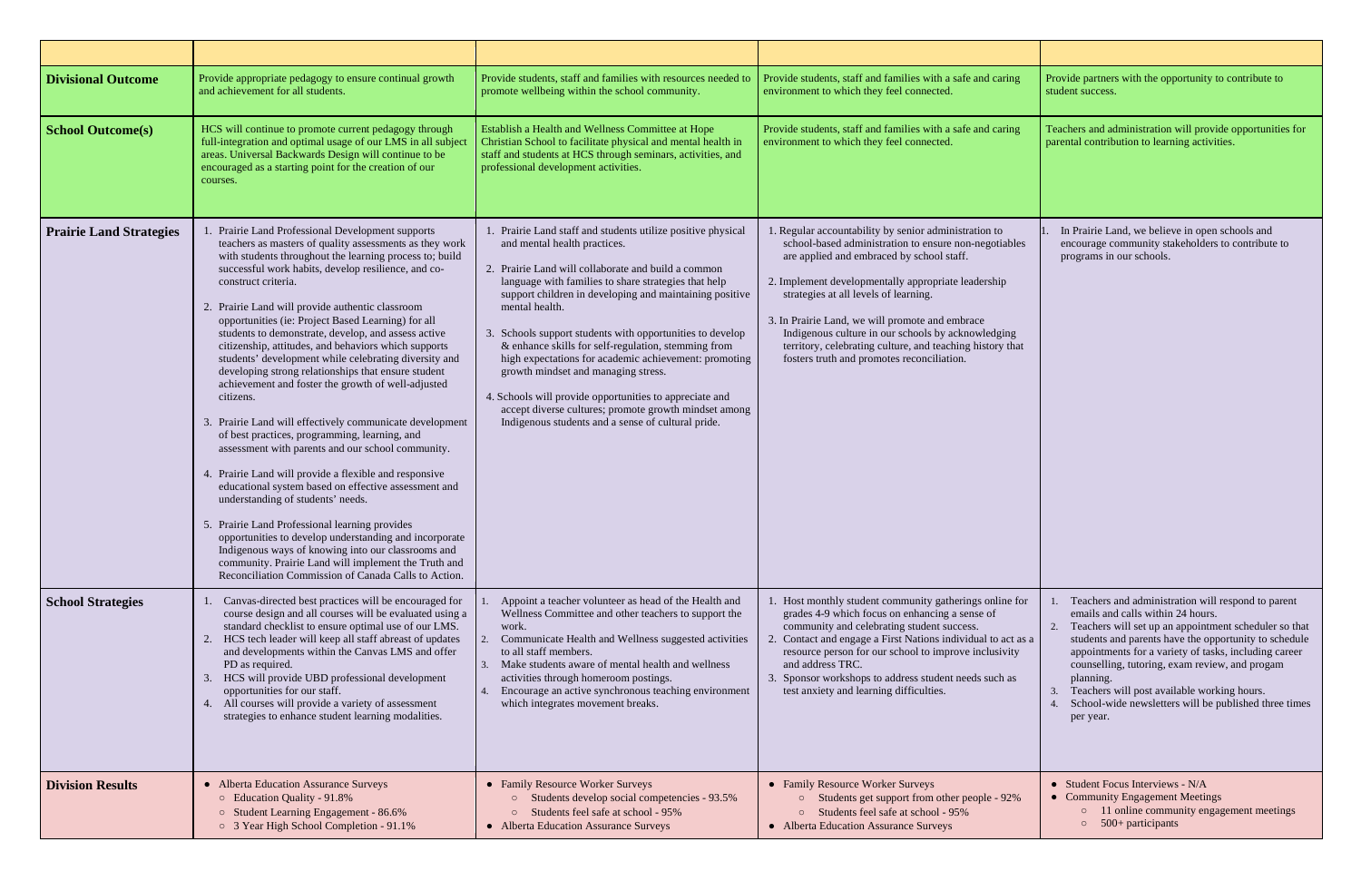| <b>Divisional Outcome</b>      | Provide appropriate pedagogy to ensure continual growth<br>and achievement for all students.                                                                                                                                                                                                                                                                                                                                                                                                                                                                                                                                                                                                                                                                                                                                                                                                                                                                                                                                                                                                                                                                                                                                                                              | Provide students, staff and families with resources needed to<br>promote wellbeing within the school community.                                                                                                                                                                                                                                                                                                                                                                                                                                                                                                                                                                  | Provide students, staff and families with a safe and caring<br>environment to which they feel connected.                                                                                                                                                                                                                                                                                                                                                                        | Provide partners with the opportunity to contribute to<br>student success.                                                                                                                                                                                                                                                                                                                                                                                |
|--------------------------------|---------------------------------------------------------------------------------------------------------------------------------------------------------------------------------------------------------------------------------------------------------------------------------------------------------------------------------------------------------------------------------------------------------------------------------------------------------------------------------------------------------------------------------------------------------------------------------------------------------------------------------------------------------------------------------------------------------------------------------------------------------------------------------------------------------------------------------------------------------------------------------------------------------------------------------------------------------------------------------------------------------------------------------------------------------------------------------------------------------------------------------------------------------------------------------------------------------------------------------------------------------------------------|----------------------------------------------------------------------------------------------------------------------------------------------------------------------------------------------------------------------------------------------------------------------------------------------------------------------------------------------------------------------------------------------------------------------------------------------------------------------------------------------------------------------------------------------------------------------------------------------------------------------------------------------------------------------------------|---------------------------------------------------------------------------------------------------------------------------------------------------------------------------------------------------------------------------------------------------------------------------------------------------------------------------------------------------------------------------------------------------------------------------------------------------------------------------------|-----------------------------------------------------------------------------------------------------------------------------------------------------------------------------------------------------------------------------------------------------------------------------------------------------------------------------------------------------------------------------------------------------------------------------------------------------------|
| <b>School Outcome(s)</b>       | HCS will continue to promote current pedagogy through<br>full-integration and optimal usage of our LMS in all subject<br>areas. Universal Backwards Design will continue to be<br>encouraged as a starting point for the creation of our<br>courses.                                                                                                                                                                                                                                                                                                                                                                                                                                                                                                                                                                                                                                                                                                                                                                                                                                                                                                                                                                                                                      | Establish a Health and Wellness Committee at Hope<br>Christian School to facilitate physical and mental health in<br>staff and students at HCS through seminars, activities, and<br>professional development activities.                                                                                                                                                                                                                                                                                                                                                                                                                                                         | Provide students, staff and families with a safe and caring<br>environment to which they feel connected.                                                                                                                                                                                                                                                                                                                                                                        | Teachers and administration will provide opportunities for<br>parental contribution to learning activities.                                                                                                                                                                                                                                                                                                                                               |
| <b>Prairie Land Strategies</b> | Prairie Land Professional Development supports<br>teachers as masters of quality assessments as they work<br>with students throughout the learning process to; build<br>successful work habits, develop resilience, and co-<br>construct criteria.<br>2. Prairie Land will provide authentic classroom<br>opportunities (ie: Project Based Learning) for all<br>students to demonstrate, develop, and assess active<br>citizenship, attitudes, and behaviors which supports<br>students' development while celebrating diversity and<br>developing strong relationships that ensure student<br>achievement and foster the growth of well-adjusted<br>citizens.<br>3. Prairie Land will effectively communicate development<br>of best practices, programming, learning, and<br>assessment with parents and our school community.<br>4. Prairie Land will provide a flexible and responsive<br>educational system based on effective assessment and<br>understanding of students' needs.<br>5. Prairie Land Professional learning provides<br>opportunities to develop understanding and incorporate<br>Indigenous ways of knowing into our classrooms and<br>community. Prairie Land will implement the Truth and<br>Reconciliation Commission of Canada Calls to Action. | Prairie Land staff and students utilize positive physical<br>and mental health practices.<br>2. Prairie Land will collaborate and build a common<br>language with families to share strategies that help<br>support children in developing and maintaining positive<br>mental health.<br>Schools support students with opportunities to develop<br>& enhance skills for self-regulation, stemming from<br>high expectations for academic achievement: promoting<br>growth mindset and managing stress.<br>4. Schools will provide opportunities to appreciate and<br>accept diverse cultures; promote growth mindset among<br>Indigenous students and a sense of cultural pride. | 1. Regular accountability by senior administration to<br>school-based administration to ensure non-negotiables<br>are applied and embraced by school staff.<br>2. Implement developmentally appropriate leadership<br>strategies at all levels of learning.<br>3. In Prairie Land, we will promote and embrace<br>Indigenous culture in our schools by acknowledging<br>territory, celebrating culture, and teaching history that<br>fosters truth and promotes reconciliation. | In Prairie Land, we believe in open schools and<br>encourage community stakeholders to contribute to<br>programs in our schools.                                                                                                                                                                                                                                                                                                                          |
| <b>School Strategies</b>       | Canvas-directed best practices will be encouraged for<br>course design and all courses will be evaluated using a<br>standard checklist to ensure optimal use of our LMS.<br>HCS tech leader will keep all staff abreast of updates<br>and developments within the Canvas LMS and offer<br>PD as required.<br>HCS will provide UBD professional development<br>opportunities for our staff.<br>All courses will provide a variety of assessment<br>strategies to enhance student learning modalities.                                                                                                                                                                                                                                                                                                                                                                                                                                                                                                                                                                                                                                                                                                                                                                      | Appoint a teacher volunteer as head of the Health and<br>Wellness Committee and other teachers to support the<br>work.<br>Communicate Health and Wellness suggested activities<br>to all staff members.<br>Make students aware of mental health and wellness<br>activities through homeroom postings.<br>Encourage an active synchronous teaching environment<br>which integrates movement breaks.                                                                                                                                                                                                                                                                               | 1. Host monthly student community gatherings online for<br>grades 4-9 which focus on enhancing a sense of<br>community and celebrating student success.<br>2. Contact and engage a First Nations individual to act as a<br>resource person for our school to improve inclusivity<br>and address TRC.<br>3. Sponsor workshops to address student needs such as<br>test anxiety and learning difficulties.                                                                        | 1. Teachers and administration will respond to parent<br>emails and calls within 24 hours.<br>Teachers will set up an appointment scheduler so that<br>students and parents have the opportunity to schedule<br>appointments for a variety of tasks, including career<br>counselling, tutoring, exam review, and progam<br>planning.<br>Teachers will post available working hours.<br>School-wide newsletters will be published three times<br>per year. |
| <b>Division Results</b>        | • Alberta Education Assurance Surveys<br>○ Education Quality - 91.8%<br>○ Student Learning Engagement - 86.6%<br>○ 3 Year High School Completion - 91.1%                                                                                                                                                                                                                                                                                                                                                                                                                                                                                                                                                                                                                                                                                                                                                                                                                                                                                                                                                                                                                                                                                                                  | • Family Resource Worker Surveys<br>Students develop social competencies - 93.5%<br>Students feel safe at school - 95%<br>$\circ$<br>• Alberta Education Assurance Surveys                                                                                                                                                                                                                                                                                                                                                                                                                                                                                                       | • Family Resource Worker Surveys<br>Students get support from other people - 92%<br>Students feel safe at school - 95%<br>$\circ$<br>• Alberta Education Assurance Surveys                                                                                                                                                                                                                                                                                                      | • Student Focus Interviews - N/A<br>• Community Engagement Meetings<br>o 11 online community engagement meetings<br>$\circ$ 500+ participants                                                                                                                                                                                                                                                                                                             |